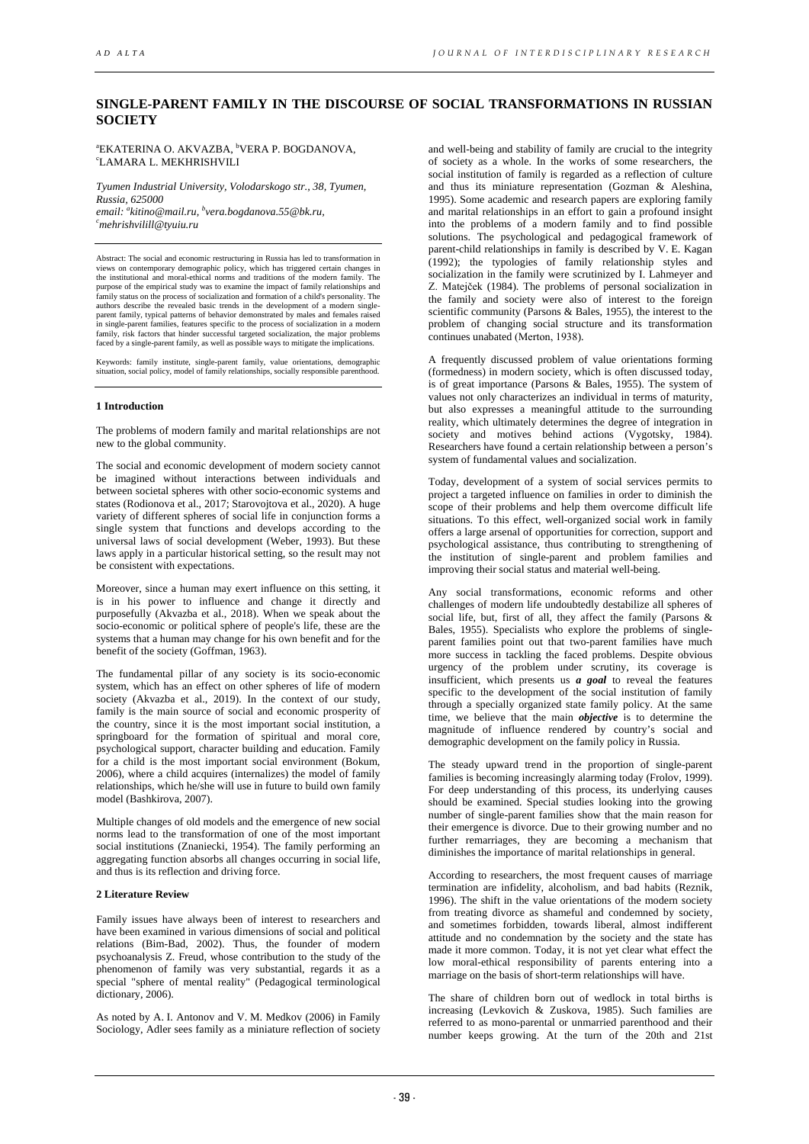# **SINGLE-PARENT FAMILY IN THE DISCOURSE OF SOCIAL TRANSFORMATIONS IN RUSSIAN SOCIETY**

<sup>a</sup>EKATERINA O. AKVAZBA, <sup>b</sup>VERA P. BOGDANOVA, с LAMARA L. MEKHRISHVILI

*Tyumen Industrial University, Volodarskogo str., 38, Tyumen, Russia, 625000 email: a kitino@mail.ru, b vera.bogdanova.55@bk.ru, c mehrishvilill@tyuiu.ru* 

Abstract: The social and economic restructuring in Russia has led to transformation in views on contemporary demographic policy, which has triggered certain changes in<br>the institutional and moral-ethical norms and traditions of the modern family. The<br>purpose of the empirical study was to examine the impact o family status on the process of socialization and formation of a child's personality. The authors describe the revealed basic trends in the development of a modern singleparent family, typical patterns of behavior demonstrated by males and females raised in single-parent families, features specific to the process of socialization in a modern family, risk factors that hinder successful targeted socialization, the major problems faced by a single-parent family, as well as possible ways to mitigate the implications.

Keywords: family institute, single-parent family, value orientations, demographic situation, social policy, model of family relationships, socially responsible parenthood.

# **1 Introduction**

The problems of modern family and marital relationships are not new to the global community.

The social and economic development of modern society cannot be imagined without interactions between individuals and between societal spheres with other socio-economic systems and states (Rodionova et al., 2017; Starovojtova et al., 2020). A huge variety of different spheres of social life in conjunction forms a single system that functions and develops according to the universal laws of social development (Weber, 1993). But these laws apply in a particular historical setting, so the result may not be consistent with expectations.

Moreover, since a human may exert influence on this setting, it is in his power to influence and change it directly and purposefully (Akvazba et al., 2018). When we speak about the socio-economic or political sphere of people's life, these are the systems that a human may change for his own benefit and for the benefit of the society (Goffman, 1963).

The fundamental pillar of any society is its socio-economic system, which has an effect on other spheres of life of modern society (Akvazba et al., 2019). In the context of our study, family is the main source of social and economic prosperity of the country, since it is the most important social institution, a springboard for the formation of spiritual and moral core, psychological support, character building and education. Family for a child is the most important social environment (Bokum, 2006), where a child acquires (internalizes) the model of family relationships, which he/she will use in future to build own family model (Bashkirova, 2007).

Multiple changes of old models and the emergence of new social norms lead to the transformation of one of the most important social institutions (Znaniecki, 1954). The family performing an aggregating function absorbs all changes occurring in social life, and thus is its reflection and driving force.

#### **2 Literature Review**

Family issues have always been of interest to researchers and have been examined in various dimensions of social and political relations (Bim-Bad, 2002). Thus, the founder of modern psychoanalysis Z. Freud, whose contribution to the study of the phenomenon of family was very substantial, regards it as a special "sphere of mental reality" (Pedagogical terminological dictionary, 2006).

As noted by A. I. Antonov and V. M. Medkov (2006) in Family Sociology, Adler sees family as a miniature reflection of society

and well-being and stability of family are crucial to the integrity of society as a whole. In the works of some researchers, the social institution of family is regarded as a reflection of culture and thus its miniature representation (Gozman & Aleshina, 1995). Some academic and research papers are exploring family and marital relationships in an effort to gain a profound insight into the problems of a modern family and to find possible solutions. The psychological and pedagogical framework of parent-child relationships in family is described by V. E. Kagan (1992); the typologies of family relationship styles and socialization in the family were scrutinized by I. Lahmeyer and Z. Matejček (1984). The problems of personal socialization in the family and society were also of interest to the foreign scientific community (Parsons & Bales, 1955), the interest to the problem of changing social structure and its transformation continues unabated (Mеrton, 1938).

A frequently discussed problem of value orientations forming (formedness) in modern society, which is often discussed today, is of great importance (Parsons & Bales, 1955). The system of values not only characterizes an individual in terms of maturity, but also expresses a meaningful attitude to the surrounding reality, which ultimately determines the degree of integration in society and motives behind actions (Vygotsky, 1984). Researchers have found a certain relationship between a person's system of fundamental values and socialization.

Today, development of a system of social services permits to project a targeted influence on families in order to diminish the scope of their problems and help them overcome difficult life situations. To this effect, well-organized social work in family offers a large arsenal of opportunities for correction, support and psychological assistance, thus contributing to strengthening of the institution of single-parent and problem families and improving their social status and material well-being.

Any social transformations, economic reforms and other challenges of modern life undoubtedly destabilize all spheres of social life, but, first of all, they affect the family (Parsons & Bales, 1955). Specialists who explore the problems of singleparent families point out that two-parent families have much more success in tackling the faced problems. Despite obvious urgency of the problem under scrutiny, its coverage is insufficient, which presents us *a goal* to reveal the features specific to the development of the social institution of family through a specially organized state family policy. At the same time, we believe that the main *objective* is to determine the magnitude of influence rendered by country's social and demographic development on the family policy in Russia.

The steady upward trend in the proportion of single-parent families is becoming increasingly alarming today (Frolov, 1999). For deep understanding of this process, its underlying causes should be examined. Special studies looking into the growing number of single-parent families show that the main reason for their emergence is divorce. Due to their growing number and no further remarriages, they are becoming a mechanism that diminishes the importance of marital relationships in general.

According to researchers, the most frequent causes of marriage termination are infidelity, alcoholism, and bad habits (Reznik, 1996). The shift in the value orientations of the modern society from treating divorce as shameful and condemned by society, and sometimes forbidden, towards liberal, almost indifferent attitude and no condemnation by the society and the state has made it more common. Today, it is not yet clear what effect the low moral-ethical responsibility of parents entering into a marriage on the basis of short-term relationships will have.

The share of children born out of wedlock in total births is increasing (Levkovich & Zuskova, 1985). Such families are referred to as mono-parental or unmarried parenthood and their number keeps growing. At the turn of the 20th and 21st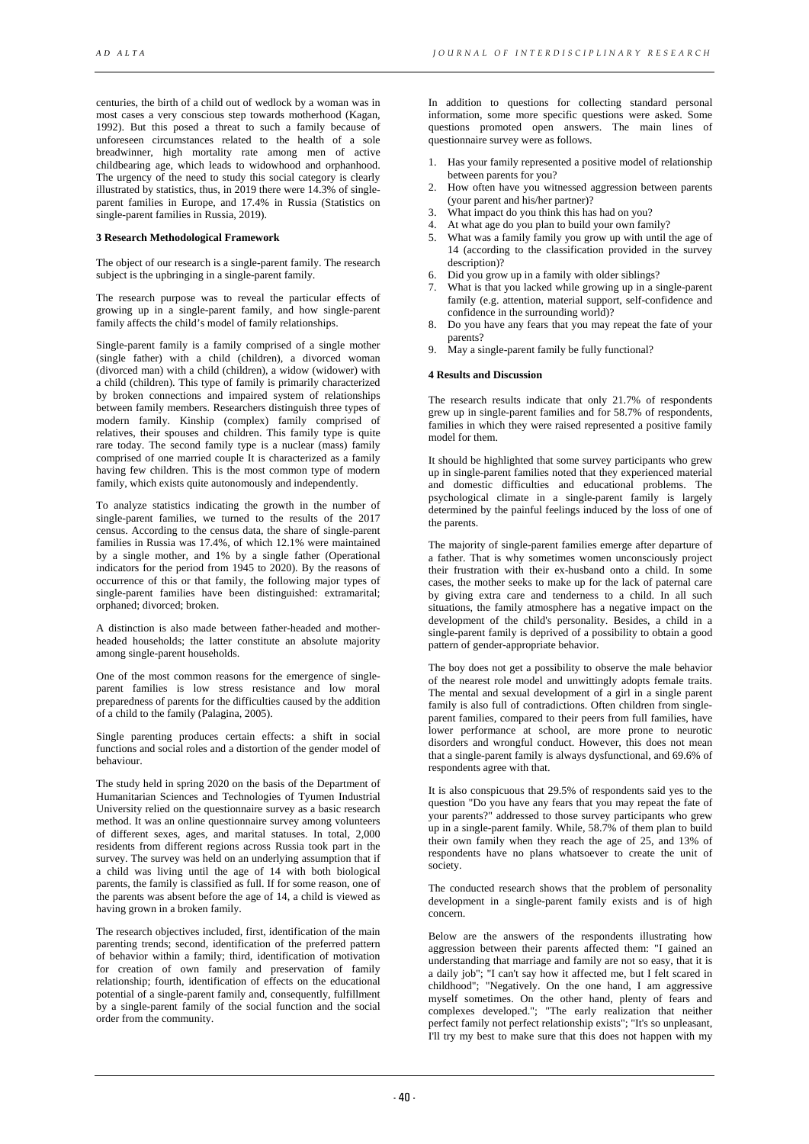centuries, the birth of a child out of wedlock by a woman was in most cases a very conscious step towards motherhood (Kagan, 1992). But this posed a threat to such a family because of unforeseen circumstances related to the health of a sole breadwinner, high mortality rate among men of active childbearing age, which leads to widowhood and orphanhood. The urgency of the need to study this social category is clearly illustrated by statistics, thus, in 2019 there were 14.3% of singleparent families in Europe, and 17.4% in Russia (Statistics on single-parent families in Russia, 2019).

### **3 Research Methodological Framework**

The object of our research is a single-parent family. The research subject is the upbringing in a single-parent family.

The research purpose was to reveal the particular effects of growing up in a single-parent family, and how single-parent family affects the child's model of family relationships.

Single-parent family is a family comprised of a single mother (single father) with a child (children), a divorced woman (divorced man) with a child (children), a widow (widower) with a child (children). This type of family is primarily characterized by broken connections and impaired system of relationships between family members. Researchers distinguish three types of modern family. Kinship (complex) family comprised of relatives, their spouses and children. This family type is quite rare today. The second family type is a nuclear (mass) family comprised of one married couple It is characterized as a family having few children. This is the most common type of modern family, which exists quite autonomously and independently.

To analyze statistics indicating the growth in the number of single-parent families, we turned to the results of the 2017 census. According to the census data, the share of single-parent families in Russia was 17.4%, of which 12.1% were maintained by a single mother, and 1% by a single father (Operational indicators for the period from 1945 to 2020). By the reasons of occurrence of this or that family, the following major types of single-parent families have been distinguished: extramarital; orphaned; divorced; broken.

A distinction is also made between father-headed and motherheaded households; the latter constitute an absolute majority among single-parent households.

One of the most common reasons for the emergence of singleparent families is low stress resistance and low moral preparedness of parents for the difficulties caused by the addition of a child to the family (Palagina, 2005).

Single parenting produces certain effects: a shift in social functions and social roles and a distortion of the gender model of behaviour.

The study held in spring 2020 on the basis of the Department of Humanitarian Sciences and Technologies of Tyumen Industrial University relied on the questionnaire survey as a basic research method. It was an online questionnaire survey among volunteers of different sexes, ages, and marital statuses. In total, 2,000 residents from different regions across Russia took part in the survey. The survey was held on an underlying assumption that if a child was living until the age of 14 with both biological parents, the family is classified as full. If for some reason, one of the parents was absent before the age of 14, a child is viewed as having grown in a broken family.

The research objectives included, first, identification of the main parenting trends; second, identification of the preferred pattern of behavior within a family; third, identification of motivation for creation of own family and preservation of family relationship; fourth, identification of effects on the educational potential of a single-parent family and, consequently, fulfillment by a single-parent family of the social function and the social order from the community.

In addition to questions for collecting standard personal information, some more specific questions were asked. Some questions promoted open answers. The main lines of questionnaire survey were as follows.

- 1. Has your family represented a positive model of relationship between parents for you?
- 2. How often have you witnessed aggression between parents (your parent and his/her partner)?
- 3. What impact do you think this has had on you?
- 4. At what age do you plan to build your own family?
- 5. What was a family family you grow up with until the age of 14 (according to the classification provided in the survey description)?
- 6. Did you grow up in a family with older siblings?
- 7. What is that you lacked while growing up in a single-parent family (e.g. attention, material support, self-confidence and confidence in the surrounding world)?
- 8. Do you have any fears that you may repeat the fate of your parents?
- 9. May a single-parent family be fully functional?

# **4 Results and Discussion**

The research results indicate that only 21.7% of respondents grew up in single-parent families and for 58.7% of respondents, families in which they were raised represented a positive family model for them.

It should be highlighted that some survey participants who grew up in single-parent families noted that they experienced material and domestic difficulties and educational problems. The psychological climate in a single-parent family is largely determined by the painful feelings induced by the loss of one of the parents.

The majority of single-parent families emerge after departure of a father. That is why sometimes women unconsciously project their frustration with their ex-husband onto a child. In some cases, the mother seeks to make up for the lack of paternal care by giving extra care and tenderness to a child. In all such situations, the family atmosphere has a negative impact on the development of the child's personality. Besides, a child in a single-parent family is deprived of a possibility to obtain a good pattern of gender-appropriate behavior.

The boy does not get a possibility to observe the male behavior of the nearest role model and unwittingly adopts female traits. The mental and sexual development of a girl in a single parent family is also full of contradictions. Often children from singleparent families, compared to their peers from full families, have lower performance at school, are more prone to neurotic disorders and wrongful conduct. However, this does not mean that a single-parent family is always dysfunctional, and 69.6% of respondents agree with that.

It is also conspicuous that 29.5% of respondents said yes to the question "Do you have any fears that you may repeat the fate of your parents?" addressed to those survey participants who grew up in a single-parent family. While, 58.7% of them plan to build their own family when they reach the age of 25, and 13% of respondents have no plans whatsoever to create the unit of society.

The conducted research shows that the problem of personality development in a single-parent family exists and is of high concern.

Below are the answers of the respondents illustrating how aggression between their parents affected them: "I gained an understanding that marriage and family are not so easy, that it is a daily job"; "I can't say how it affected me, but I felt scared in childhood"; "Negatively. On the one hand, I am aggressive myself sometimes. On the other hand, plenty of fears and complexes developed."; "The early realization that neither perfect family not perfect relationship exists"; "It's so unpleasant, I'll try my best to make sure that this does not happen with my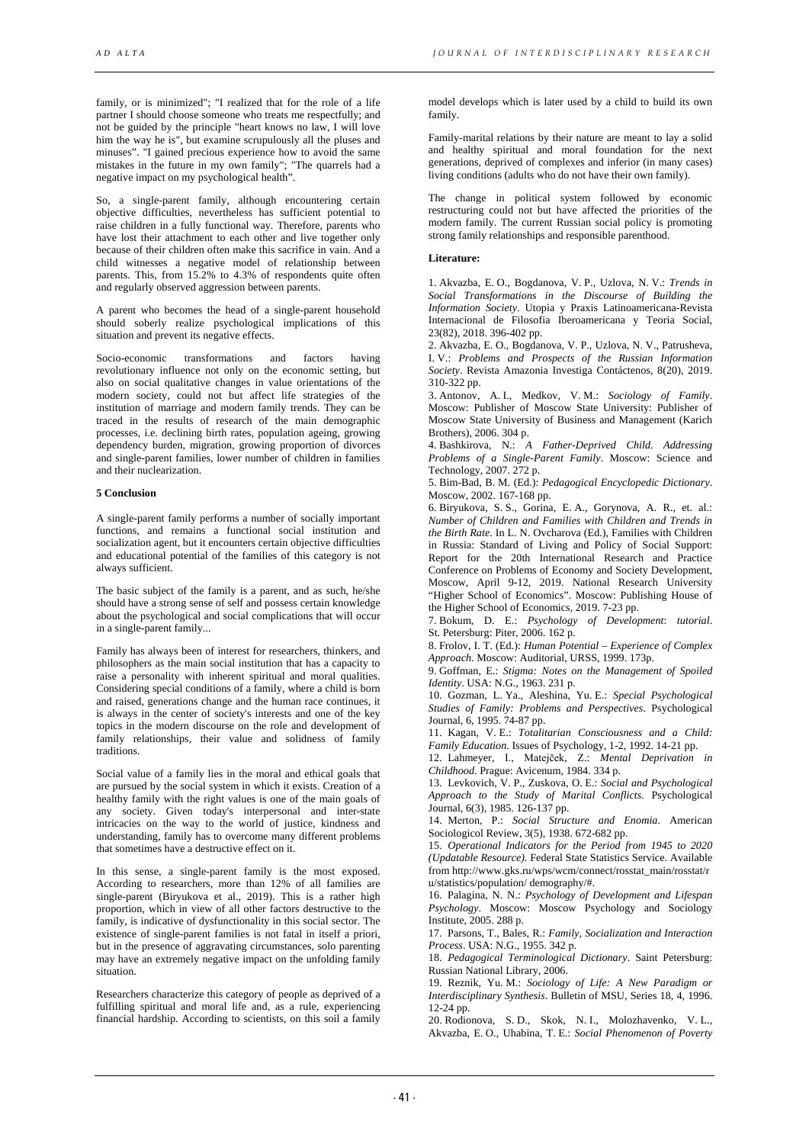family, or is minimized"; "I realized that for the role of a life partner I should choose someone who treats me respectfully; and not be guided by the principle "heart knows no law, I will love him the way he is", but examine scrupulously all the pluses and minuses". "I gained precious experience how to avoid the same mistakes in the future in my own family"; "The quarrels had a negative impact on my psychological health".

So, a single-parent family, although encountering certain objective difficulties, nevertheless has sufficient potential to raise children in a fully functional way. Therefore, parents who have lost their attachment to each other and live together only because of their children often make this sacrifice in vain. And a child witnesses a negative model of relationship between parents. This, from 15.2% to 4.3% of respondents quite often and regularly observed aggression between parents.

A parent who becomes the head of a single-parent household should soberly realize psychological implications of this situation and prevent its negative effects.

Socio-economic transformations and factors having revolutionary influence not only on the economic setting, but also on social qualitative changes in value orientations of the modern society, could not but affect life strategies of the institution of marriage and modern family trends. They can be traced in the results of research of the main demographic processes, i.e. declining birth rates, population ageing, growing dependency burden, migration, growing proportion of divorces and single-parent families, lower number of children in families and their nuclearization.

# **5 Conclusion**

A single-parent family performs a number of socially important functions, and remains a functional social institution and socialization agent, but it encounters certain objective difficulties and educational potential of the families of this category is not always sufficient.

The basic subject of the family is a parent, and as such, he/she should have a strong sense of self and possess certain knowledge about the psychological and social complications that will occur in a single-parent family...

Family has always been of interest for researchers, thinkers, and philosophers as the main social institution that has a capacity to raise a personality with inherent spiritual and moral qualities. Considering special conditions of a family, where a child is born and raised, generations change and the human race continues, it is always in the center of society's interests and one of the key topics in the modern discourse on the role and development of family relationships, their value and solidness of family traditions.

Social value of a family lies in the moral and ethical goals that are pursued by the social system in which it exists. Creation of a healthy family with the right values is one of the main goals of any society. Given today's interpersonal and inter-state intricacies on the way to the world of justice, kindness and understanding, family has to overcome many different problems that sometimes have a destructive effect on it.

In this sense, a single-parent family is the most exposed. According to researchers, more than 12% of all families are single-parent (Biryukova et al., 2019). This is a rather high proportion, which in view of all other factors destructive to the family, is indicative of dysfunctionality in this social sector. The existence of single-parent families is not fatal in itself a priori, but in the presence of aggravating circumstances, solo parenting may have an extremely negative impact on the unfolding family situation.

Researchers characterize this category of people as deprived of a fulfilling spiritual and moral life and, as a rule, experiencing financial hardship. According to scientists, on this soil a family

model develops which is later used by a child to build its own family.

Family-marital relations by their nature are meant to lay a solid and healthy spiritual and moral foundation for the next generations, deprived of complexes and inferior (in many cases) living conditions (adults who do not have their own family).

The change in political system followed by economic restructuring could not but have affected the priorities of the modern family. The current Russian social policy is promoting strong family relationships and responsible parenthood.

# **Literature:**

1. Akvazba, E. O., Bogdanova, V. P., Uzlova, N. V.: *Trends in Social Transformations in the Discourse of Building the Information Society*. Utopia y Praxis Latinoamericana-Revista Internacional de Filosofia Iberoamericana y Teoria Social, 23(82), 2018. 396-402 pp.

2. Akvazba, E. O., Bogdanova, V. P., Uzlova, N. V., Patrusheva, I. V.: *Problems and Prospects of the Russian Information Society*. Revista Amazonia Investiga Contáctenos, 8(20), 2019. 310-322 pp.

3. Antonov, A. I., Medkov, V. M.: *Sociology of Family*. Moscow: Publisher of Moscow State University: Publisher of Moscow State University of Business and Management (Karich Brothers), 2006. 304 p.

4. Bashkirova, N.: *A Father-Deprived Child. Addressing Problems of a Single-Parent Family*. Moscow: Science and Technology, 2007. 272 p.

5. Bim-Bad, B. M. (Ed.): *Pedagogical Encyclopedic Dictionary*. Moscow, 2002. 167-168 pp.

6. Biryukova, S. S., Gorina, E. A., Gorynova, A. R., et. al.: *Number of Children and Families with Children and Trends in the Birth Rate*. In L. N. Ovcharova (Ed.), Families with Children in Russia: Standard of Living and Policy of Social Support: Report for the 20th International Research and Practice Conference on Problems of Economy and Society Development, Moscow, April 9-12, 2019. National Research University "Higher School of Economics". Moscow: Publishing House of the Higher School of Economics, 2019. 7-23 pp.

7. Bokum, D. E.: *Psychology of Development*: *tutorial*. St. Petersburg: Piter, 2006. 162 p.

8. Frolov, I. T. (Ed.): *Human Potential – Experience of Complex Approach*. Moscow: Auditorial, URSS, 1999. 173p.

9. Goffman, E.: *Stigma: Notes on the Management of Spoiled Identity*. USA: N.G., 1963. 231 р.

10. Gozman, L. Ya., Aleshina, Yu. E.: *Special Psychological Studies of Family: Problems and Perspectives*. Psychological Journal, 6, 1995. 74-87 pp.

11. Kagan, V. E.: *Totalitarian Consciousness and a Child: Family Education*. Issues of Psychology, 1-2, 1992. 14-21 pp.

12. Lahmeyer, I., Matejček, Z.: *Mental Deprivation in Childhood*. Prague: Avicenum, 1984. 334 p.

13. Levkovich, V. P., Zuskova, O. E.: *Social and Psychological Approach to the Study of Marital Conflicts*. Psychological Journal, 6(3), 1985. 126-137 pp.

14. Mеrton, P.: *Social Structure and Enomia*. American Sociologicol Review, 3(5), 1938. 672-682 pp.

15. *Operational Indicators for the Period from 1945 to 2020 (Updatable Resource).* Federal State Statistics Service. Available from http://www.gks.ru/wps/wcm/connect/rosstat\_main/rosstat/r u/statistics/population/ demography/#.

16. Palagina, N. N.: *Psychology of Development and Lifespan Psychology*. Moscow: Moscow Psychology and Sociology Institute, 2005. 288 p.

17. Parsons, T., Bales, R.: *Family, Socialization and Interaction Process*. USA: N.G., 1955. 342 р.

18. *Pedagogical Terminological Dictionary*. Saint Petersburg: Russian National Library, 2006.

19. Reznik, Yu. M.: *Sociology of Life: A New Paradigm or Interdisciplinary Synthesis*. Bulletin of MSU, Series 18, 4, 1996. 12-24 pp.

20. Rodionova, S. D., Skok, N. I., Molozhavenko, V. L., Akvazba, E. O., Uhabina, T. E.: *Social Phenomenon of Poverty*